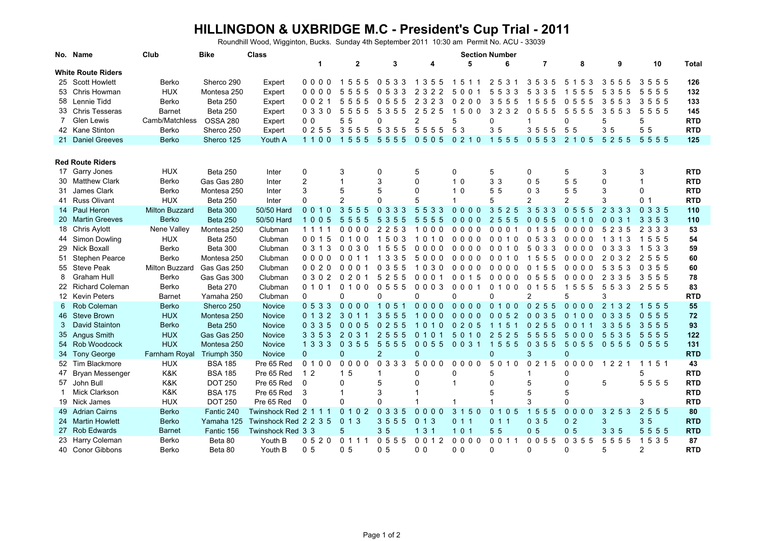## **HILLINGDON & UXBRIDGE M.C - President's Cup Trial - 2011**

Roundhill Wood, Wigginton, Bucks. Sunday 4th September 2011 10:30 am Permit No. ACU - 33039

|                           | No. Name                | Club                      | <b>Bike</b>     | <b>Class</b>          | <b>Section Number</b> |                  |                             |                                              |                           |                                               |                                                  |                                                        |                                                  |                             |              |
|---------------------------|-------------------------|---------------------------|-----------------|-----------------------|-----------------------|------------------|-----------------------------|----------------------------------------------|---------------------------|-----------------------------------------------|--------------------------------------------------|--------------------------------------------------------|--------------------------------------------------|-----------------------------|--------------|
|                           |                         |                           |                 |                       | $\mathbf{1}$          | $\overline{2}$   | 3                           | 4                                            | 5                         | 6                                             | $\overline{7}$                                   | 8                                                      | 9                                                | 10                          | <b>Total</b> |
| <b>White Route Riders</b> |                         |                           |                 |                       |                       |                  |                             |                                              |                           |                                               |                                                  |                                                        |                                                  |                             |              |
|                           | 25 Scott Howlett        | Berko                     | Sherco 290      | Expert                | 0000                  | 1555             | 0 5 3 3                     | 355<br>-1                                    | 1511                      | 2 5 3 1                                       | 3535                                             | 5 1 5<br>3                                             | 355<br>-5                                        | 555<br>3                    | 126          |
|                           | 53 Chris Howman         | <b>HUX</b>                | Montesa 250     | Expert                | 0000                  | 5555             | 0533                        | $\overline{2}$<br>322                        | 50<br>0 <sub>1</sub>      | 5 5 3 3                                       | 5 3 3 5                                          | 555                                                    | 5<br>35<br>-5                                    | 5555                        | 132          |
|                           | 58 Lennie Tidd          | Berko                     | <b>Beta 250</b> | Expert                | 0 0 2 1               | 5555             | 5<br>055                    | $\overline{2}$<br>3 2 3                      | 0200                      | 3 5 5 5                                       | 1555                                             | 055<br>5                                               | 3553                                             | 3555                        | 133          |
|                           | 33 Chris Tesseras       | <b>Barnet</b>             | Beta 250        | Expert                | 0 3 3 0               | 55<br>55         | 5<br>3 5 5                  | $\overline{2}$<br>5 2 5                      | 5<br>0 <sub>0</sub><br>-1 | 3<br>2 3 2                                    | 5 5<br>05                                        | 5<br>555                                               | 3553                                             | 5<br>555                    | 145          |
| 7                         | Glen Lewis              | Camb/Matchless            | <b>OSSA 280</b> | Expert                | 0 <sub>0</sub>        | 55               | $\Omega$                    | $\overline{2}$                               | 5                         | 0                                             |                                                  | $\Omega$                                               | 5                                                | 5                           | <b>RTD</b>   |
|                           | 42 Kane Stinton         | Berko                     | Sherco 250      | Expert                | 0255                  | 3555             | 5 3 5 5                     | 5 5 5 5                                      | 5 3                       | 3 <sub>5</sub>                                | 3 5 5 5                                          | 55                                                     | 3 5                                              | 5<br>5                      | <b>RTD</b>   |
|                           | 21 Daniel Greeves       | <b>Berko</b>              | Sherco 125      | Youth A               | 1100                  | 1555             | 5555                        | 0505                                         | 0210                      | 1 5 5 5                                       | 0553                                             | 2 1 0 5                                                | 5 2 5 5                                          | 5555                        | 125          |
|                           |                         |                           |                 |                       |                       |                  |                             |                                              |                           |                                               |                                                  |                                                        |                                                  |                             |              |
|                           |                         |                           |                 |                       |                       |                  |                             |                                              |                           |                                               |                                                  |                                                        |                                                  |                             |              |
|                           | <b>Red Route Riders</b> |                           |                 |                       |                       |                  |                             |                                              |                           |                                               |                                                  |                                                        |                                                  |                             |              |
|                           | 17 Garry Jones          | <b>HUX</b>                | <b>Beta 250</b> | Inter                 | 0                     | 3                | 0                           | 5                                            | 0                         | 5                                             | 0                                                | 5                                                      | 3                                                | 3                           | <b>RTD</b>   |
|                           | 30 Matthew Clark        | Berko                     | Gas Gas 280     | Inter                 | $\overline{c}$        |                  | 3                           | 0                                            | 1 <sub>0</sub>            | 3 <sub>3</sub>                                | 0 <sub>5</sub>                                   | 55                                                     | $\Omega$                                         |                             | <b>RTD</b>   |
|                           | 31 James Clark          | Berko                     | Montesa 250     | Inter                 | 3                     | 5                | 5                           | 0                                            | 1 <sub>0</sub>            | 5 <sub>5</sub>                                | 0 <sub>3</sub>                                   | 5 <sub>5</sub>                                         | 3                                                | $\Omega$                    | <b>RTD</b>   |
|                           | 41 Russ Olivant         | <b>HUX</b>                | <b>Beta 250</b> | Inter                 | $\Omega$              | $\overline{2}$   | $\Omega$                    | 5                                            | 1                         | 5                                             | 2                                                | 2                                                      | 3                                                | 0 <sub>1</sub>              | <b>RTD</b>   |
|                           | 14 Paul Heron           | <b>Milton Buzzard</b>     | <b>Beta 300</b> | 50/50 Hard            | 0010                  | 3555             | 0 3 3 3                     | 5 5 3 3                                      | $0000$                    | 3 5 2 5                                       | 3533                                             | 055<br>-5                                              | 2 3 3 3                                          | 0 3 3 5                     | 110          |
|                           | 20 Martin Greeves       | <b>Berko</b>              | <b>Beta 250</b> | 50/50 Hard            | 1005                  | 5<br>5<br>5<br>5 | 5<br>3<br>5 5               | 5<br>555                                     | $0000$                    | $\overline{2}$<br>-5<br>55                    | 0 <sub>0</sub><br>$5^{\circ}$<br>5               | $\Omega$<br>$\mathbf{0}$<br>$\Omega$<br>$\overline{1}$ | 0 <sub>0</sub><br>3                              | 353<br>3                    | 110          |
|                           | 18 Chris Aylott         | Nene Valley               | Montesa 250     | Clubman               | 1 1 1 1               | 0000             | 2 5<br>$\overline{2}$<br>3  | 000<br>$\overline{1}$                        | 0000                      | $\mathbf 0$<br>001                            | 0 <sub>1</sub><br>3<br>5                         | $0\quad 0\quad 0\quad 0$                               | 5<br>5 2 3                                       | 3 3 3<br>$\overline{2}$     | 53           |
|                           | 44 Simon Dowling        | <b>HUX</b>                | <b>Beta 250</b> | Clubman               | 0 0 1 5               | 0100             | 1503                        | 1010                                         | $0000$                    | 0 0 1 0                                       | 0533                                             | $0000$                                                 | 1 3 1<br>-3                                      | 1555                        | 54           |
|                           | 29 Nick Boxall          | Berko                     | <b>Beta 300</b> | Clubman               | 0 3 1 3               | 0030             | 1555                        | 0000                                         | 0000                      | 0010                                          | 5 0 3 3                                          | 0000                                                   | 0 3 3 3                                          | 5 3 3                       | 59           |
|                           | 51 Stephen Pearce       | Berko                     | Montesa 250     | Clubman               | 0000                  | 0 <sub>0</sub>   | 3 3 5                       | 5000                                         | $0000$                    | 0010                                          | 5<br>15<br>5                                     | $0\quad 0\quad 0\quad 0$                               | 3 <sub>2</sub><br>20                             | 555<br>2                    | 60           |
|                           | 55 Steve Peak           | Milton Buzzard            | Gas Gas 250     | Clubman               | 0020                  | 0001             | 0355                        | 1030                                         | $0000$                    | $0000$                                        | 5<br>5<br>0 <sub>1</sub>                         | $\Omega$<br>000                                        | 3<br>5<br>-5<br>-3                               | 355<br>$\Omega$             | 60           |
| 8                         | <b>Graham Hull</b>      | Berko                     | Gas Gas 300     | Clubman               | 0302                  | 0201             | 5255                        | 0001                                         | 0015                      | $0000$                                        | 0555                                             | $0000$                                                 | 2 3 3 5                                          | 3555                        | 78           |
|                           | 22 Richard Coleman      | Berko                     | <b>Beta 270</b> | Clubman               | 0 1 0 1               | 0100             | 0555                        | $0\;0\;0\;3$                                 | 0001                      | 0 1 0 0                                       | 0 1 5 5                                          | 1555                                                   | 5 5 3 3                                          | 2555                        | 83           |
|                           | 12 Kevin Peters         | <b>Barnet</b>             | Yamaha 250      | Clubman               | $\Omega$              | $\Omega$         | $\Omega$                    | 0                                            | $\Omega$                  | $\Omega$                                      | 2                                                | 5                                                      | 3                                                |                             | <b>RTD</b>   |
| 6                         | Rob Coleman             | Berko                     | Sherco 250      | Novice                | 0533                  | $0000$           | 051<br>$\blacktriangleleft$ | $0000$                                       | $0000$                    | 0 1 0 0                                       | 0255                                             | $0000$                                                 | 2 <sub>1</sub><br>3 <sub>2</sub>                 | 555<br>$\blacktriangleleft$ | 55           |
|                           | 46 Steve Brown          | <b>HUX</b>                | Montesa 250     | Novice                | 0 1 3 2               | 3 0 1            | 3 5 5 5                     | 1000                                         | 0000                      | 0052                                          | 0 <sub>0</sub><br>$\mathbf{3}$<br>$\overline{5}$ | 0 1 0 0                                                | 0 <sub>3</sub><br>$\mathbf{3}$<br>$\overline{5}$ | 0555                        | 72           |
| 3                         | David Stainton          | <b>Berko</b>              | <b>Beta 250</b> | Novice                | 0335                  | 0005             | 0255                        | 1010                                         | 0205                      | 1 1 5 1                                       | 0255                                             | 0 0 1 1                                                | 3 3 5 5                                          | 3555                        | 93           |
|                           | 35 Angus Smith          | <b>HUX</b>                | Gas Gas 250     | Novice                | 3 3 5 3               | 203              | 2 5 5 5                     | $\Omega$<br>$\overline{0}$<br>$\overline{1}$ | 1 <sub>0</sub><br>50      | $\overline{2}$<br>2 <sub>5</sub><br>$\bullet$ | 555<br>$\overline{5}$                            | 5000                                                   | 5 5 3<br>-5                                      | 5<br>555                    | 122          |
|                           | 54 Rob Woodcock         | <b>HUX</b>                | Montesa 250     | Novice                | 1 3 3 3               | 0355             | $5\overline{)}$<br>5 5 5    | 0055                                         | 0031                      | 1 <sub>5</sub><br>55                          | 0355                                             | 5055                                                   | 0555                                             | 0 5 5 5                     | 131          |
|                           | 34 Tony George          | Farnham Royal Triumph 350 |                 | Novice                | $\Omega$              | $\Omega$         | $\overline{2}$              | $\overline{0}$                               |                           | $\overline{0}$                                | 3                                                | $\overline{0}$                                         |                                                  |                             | <b>RTD</b>   |
|                           | 52 Tim Blackmore        | <b>HUX</b>                | <b>BSA 185</b>  | Pre 65 Red            | 0 1 0 0               | 0000             | 0 3 3 3                     | 5000                                         | $0000$                    | 5 0 1 0                                       | 0215                                             | $0000$                                                 | 1 2 2 1                                          | 1 1 5 1                     | 43           |
|                           | 47 Bryan Messenger      | K&K                       | <b>BSA 185</b>  | Pre 65 Red            | 1 <sub>2</sub>        | 15               | $\mathbf 1$                 | 0                                            | 0                         | 5                                             | -1                                               | 0                                                      |                                                  | 5                           | <b>RTD</b>   |
|                           | 57 John Bull            | K&K                       | <b>DOT 250</b>  | Pre 65 Red            | 0                     | 0                | 5                           | 0                                            | $\overline{1}$            | 0                                             | 5                                                | $\mathbf 0$                                            | 5                                                | 5555                        | <b>RTD</b>   |
|                           | <b>Mick Clarkson</b>    | K&K                       | <b>BSA 175</b>  | Pre 65 Red            | -3                    |                  | 3                           |                                              |                           | 5                                             | 5                                                | 5                                                      |                                                  |                             | <b>RTD</b>   |
|                           | 19 Nick James           | <b>HUX</b>                | <b>DOT 250</b>  | Pre 65 Red            | $\Omega$              | $\Omega$         | $\Omega$                    | 1                                            | 1                         | 1                                             | 3                                                | $\Omega$                                               |                                                  | 3                           | <b>RTD</b>   |
|                           | 49 Adrian Cairns        | <b>Berko</b>              | Fantic 240      | Twinshock Red 2 1 1 1 |                       | 0 1 0 2          | 0 3 3 5                     | $\mathbf{0}$<br>000                          | 3 1 5 0                   | 0 1 0 5                                       | 1555                                             | 0 <sub>0</sub><br>0 <sub>0</sub>                       | 3 2 5 3                                          | 2 5 5 5                     | 80           |
|                           | 24 Martin Howlett       | Berko                     | Yamaha 125      | Twinshock Red 2 2 3 5 |                       | 013              | 3555                        | 013                                          | 011                       | 011                                           | 035                                              | 0 <sub>2</sub>                                         | 3                                                | 35                          | <b>RTD</b>   |
|                           | 27 Rob Edwards          | <b>Barnet</b>             | Fantic 156      | Twinshock Red 3 3     |                       | 5                | 35                          | 3 <sub>1</sub><br>$\mathbf{1}$               | 101                       | 5 <sub>5</sub>                                | 0 <sub>5</sub>                                   | 0 <sub>5</sub>                                         | 3 3 5                                            | 5<br>555                    | <b>RTD</b>   |
|                           |                         |                           |                 |                       |                       |                  |                             | 0012                                         |                           |                                               |                                                  | 0355                                                   |                                                  |                             |              |
|                           | 23 Harry Coleman        | Berko                     | Beta 80         | Youth B               | 0520                  | 0 1 1 1          | 0 5 5 5                     |                                              | 0000                      | 0 0 1 1                                       | 0055                                             |                                                        | 5 5 5 5                                          | 1 5 3 5                     | 87           |
|                           | 40 Conor Gibbons        | Berko                     | Beta 80         | Youth B               | 0 <sub>5</sub>        | 0 <sub>5</sub>   | 0 <sub>5</sub>              | 0 <sub>0</sub>                               | 0 <sub>0</sub>            | 0                                             | 0                                                | $\Omega$                                               | 5                                                | 2                           | <b>RTD</b>   |